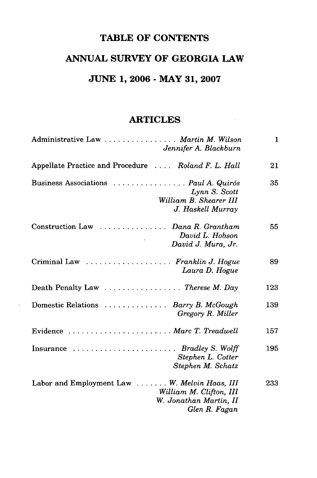## **TABLE OF CONTENTS**

## **ANNUAL SURVEY OF GEORGIA LAW**

## **JUNE 1, 2006 - MAY 31, 2007**

## **ARTICLES**

| Administrative Law Martin M. Wilson<br>Jennifer A. Blackburn                                                       | 1   |
|--------------------------------------------------------------------------------------------------------------------|-----|
| Appellate Practice and Procedure  Roland F. L. Hall                                                                | 21  |
| Business Associations  Paul A. Quirós<br>Lynn S. Scott<br>William B. Shearer III<br>J. Haskell Murray              | 35  |
| Construction Law  Dana R. Grantham<br>David L. Hobson<br>David J. Mura, Jr.                                        | 55  |
| Criminal Law  Franklin J. Hogue<br>Laura D. Hogue                                                                  | 89  |
| Death Penalty Law $\ldots \ldots \ldots \ldots$ . Therese M. Day                                                   | 123 |
| Domestic Relations  Barry B. McGough<br>Gregory R. Miller                                                          | 139 |
| Evidence  Marc T. Treadwell                                                                                        | 157 |
| Insurance $\ldots \ldots \ldots \ldots \ldots \ldots$ Bradley S. Wolff<br>Stephen L. Cotter<br>Stephen M. Schatz   | 195 |
| Labor and Employment Law W. Melvin Haas, III<br>William M. Clifton, III<br>W. Jonathan Martin, II<br>Glen R. Fagan | 233 |